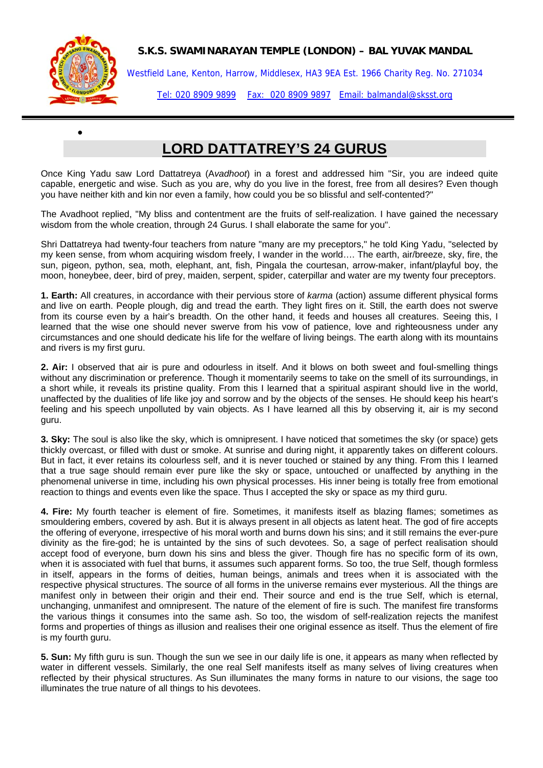## **S.K.S. SWAMINARAYAN TEMPLE (LONDON) – BAL YUVAK MANDAL**



•

Westfield Lane, Kenton, Harrow, Middlesex, HA3 9EA Est. 1966 Charity Reg. No. 271034

Tel: 020 8909 9899 Fax: 020 8909 9897 Email: balmandal@sksst.org

## **LORD DATTATREY'S 24 GURUS**

Once King Yadu saw Lord Dattatreya (A*vadhoot*) in a forest and addressed him "Sir, you are indeed quite capable, energetic and wise. Such as you are, why do you live in the forest, free from all desires? Even though you have neither kith and kin nor even a family, how could you be so blissful and self-contented?"

The Avadhoot replied, "My bliss and contentment are the fruits of self-realization. I have gained the necessary wisdom from the whole creation, through 24 Gurus. I shall elaborate the same for you".

Shri Dattatreya had twenty-four teachers from nature "many are my preceptors," he told King Yadu, "selected by my keen sense, from whom acquiring wisdom freely, I wander in the world…. The earth, air/breeze, sky, fire, the sun, pigeon, python, sea, moth, elephant, ant, fish, Pingala the courtesan, arrow-maker, infant/playful boy, the moon, honeybee, deer, bird of prey, maiden, serpent, spider, caterpillar and water are my twenty four preceptors.

**1. Earth:** All creatures, in accordance with their pervious store of *karma* (action) assume different physical forms and live on earth. People plough, dig and tread the earth. They light fires on it. Still, the earth does not swerve from its course even by a hair's breadth. On the other hand, it feeds and houses all creatures. Seeing this, I learned that the wise one should never swerve from his vow of patience, love and righteousness under any circumstances and one should dedicate his life for the welfare of living beings. The earth along with its mountains and rivers is my first guru.

**2. Air:** I observed that air is pure and odourless in itself. And it blows on both sweet and foul-smelling things without any discrimination or preference. Though it momentarily seems to take on the smell of its surroundings, in a short while, it reveals its pristine quality. From this I learned that a spiritual aspirant should live in the world, unaffected by the dualities of life like joy and sorrow and by the objects of the senses. He should keep his heart's feeling and his speech unpolluted by vain objects. As I have learned all this by observing it, air is my second guru.

**3. Sky:** The soul is also like the sky, which is omnipresent. I have noticed that sometimes the sky (or space) gets thickly overcast, or filled with dust or smoke. At sunrise and during night, it apparently takes on different colours. But in fact, it ever retains its colourless self, and it is never touched or stained by any thing. From this I learned that a true sage should remain ever pure like the sky or space, untouched or unaffected by anything in the phenomenal universe in time, including his own physical processes. His inner being is totally free from emotional reaction to things and events even like the space. Thus I accepted the sky or space as my third guru.

**4. Fire:** My fourth teacher is element of fire. Sometimes, it manifests itself as blazing flames; sometimes as smouldering embers, covered by ash. But it is always present in all objects as latent heat. The god of fire accepts the offering of everyone, irrespective of his moral worth and burns down his sins; and it still remains the ever-pure divinity as the fire-god; he is untainted by the sins of such devotees. So, a sage of perfect realisation should accept food of everyone, burn down his sins and bless the giver. Though fire has no specific form of its own, when it is associated with fuel that burns, it assumes such apparent forms. So too, the true Self, though formless in itself, appears in the forms of deities, human beings, animals and trees when it is associated with the respective physical structures. The source of all forms in the universe remains ever mysterious. All the things are manifest only in between their origin and their end. Their source and end is the true Self, which is eternal, unchanging, unmanifest and omnipresent. The nature of the element of fire is such. The manifest fire transforms the various things it consumes into the same ash. So too, the wisdom of self-realization rejects the manifest forms and properties of things as illusion and realises their one original essence as itself. Thus the element of fire is my fourth guru.

**5. Sun:** My fifth guru is sun. Though the sun we see in our daily life is one, it appears as many when reflected by water in different vessels. Similarly, the one real Self manifests itself as many selves of living creatures when reflected by their physical structures. As Sun illuminates the many forms in nature to our visions, the sage too illuminates the true nature of all things to his devotees.